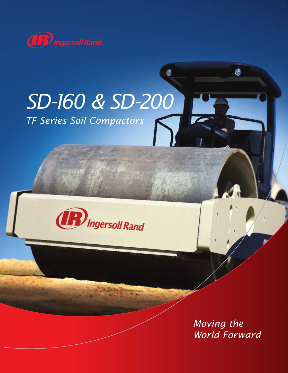

# *SD-160 & SD-200 TF Series Soil Compactors*



*Moving the World Forward*